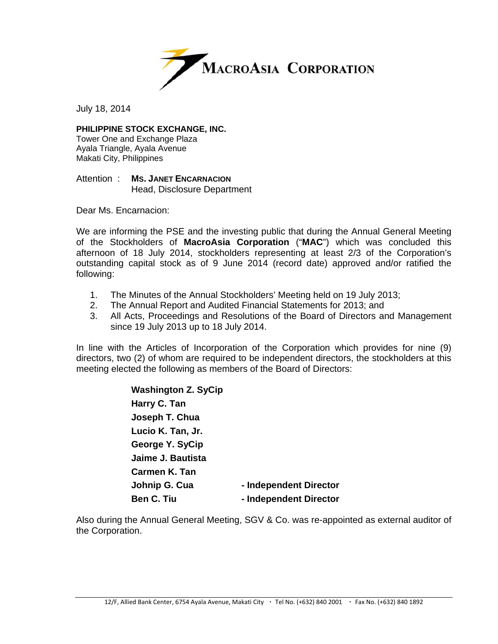

July 18, 2014

**PHILIPPINE STOCK EXCHANGE, INC.** 

Tower One and Exchange Plaza Ayala Triangle, Ayala Avenue Makati City, Philippines

Attention : **MS. JANET ENCARNACION** Head, Disclosure Department

Dear Ms. Encarnacion:

We are informing the PSE and the investing public that during the Annual General Meeting of the Stockholders of **MacroAsia Corporation** ("**MAC**") which was concluded this afternoon of 18 July 2014, stockholders representing at least 2/3 of the Corporation's outstanding capital stock as of 9 June 2014 (record date) approved and/or ratified the following:

- 1. The Minutes of the Annual Stockholders' Meeting held on 19 July 2013;
- 2. The Annual Report and Audited Financial Statements for 2013; and
- 3. All Acts, Proceedings and Resolutions of the Board of Directors and Management since 19 July 2013 up to 18 July 2014.

In line with the Articles of Incorporation of the Corporation which provides for nine (9) directors, two (2) of whom are required to be independent directors, the stockholders at this meeting elected the following as members of the Board of Directors:

> **Washington Z. SyCip Harry C. Tan Joseph T. Chua Lucio K. Tan, Jr. George Y. SyCip Jaime J. Bautista Carmen K. Tan Johnip G. Cua** - Independent Director **Ben C. Tiu**  $\qquad \qquad$  **- Independent Director**

Also during the Annual General Meeting, SGV & Co. was re-appointed as external auditor of the Corporation.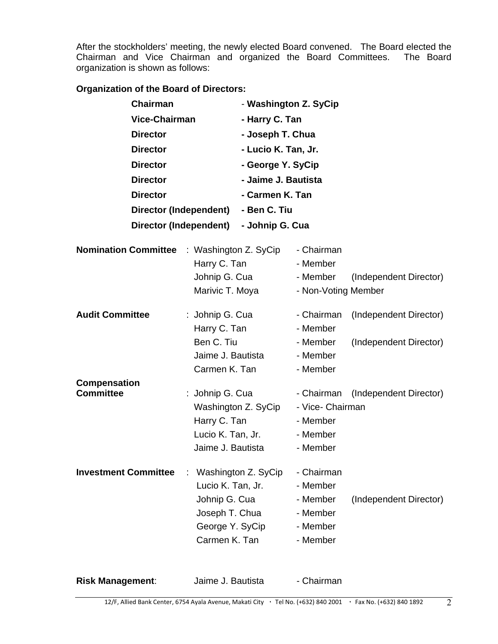After the stockholders' meeting, the newly elected Board convened. The Board elected the Chairman and Vice Chairman and organized the Board Committees. The Board organization is shown as follows:

## **Organization of the Board of Directors:**

| <b>Chairman</b>                                            | <b>Vice-Chairman</b><br><b>Director</b>            |                     | - Washington Z. SyCip<br>- Harry C. Tan<br>- Joseph T. Chua |                        |  |  |
|------------------------------------------------------------|----------------------------------------------------|---------------------|-------------------------------------------------------------|------------------------|--|--|
|                                                            |                                                    |                     |                                                             |                        |  |  |
|                                                            |                                                    |                     |                                                             |                        |  |  |
| <b>Director</b>                                            |                                                    | - Lucio K. Tan, Jr. |                                                             |                        |  |  |
| <b>Director</b>                                            |                                                    |                     | - George Y. SyCip                                           |                        |  |  |
| <b>Director</b>                                            |                                                    | - Jaime J. Bautista |                                                             |                        |  |  |
| <b>Director</b>                                            |                                                    | - Carmen K. Tan     |                                                             |                        |  |  |
|                                                            | Director (Independent)                             | - Ben C. Tiu        |                                                             |                        |  |  |
| Director (Independent)<br>- Johnip G. Cua                  |                                                    |                     |                                                             |                        |  |  |
|                                                            |                                                    |                     |                                                             |                        |  |  |
| <b>Nomination Committee</b>                                | : Washington Z. SyCip                              |                     | - Chairman                                                  |                        |  |  |
|                                                            | Harry C. Tan                                       |                     | - Member                                                    |                        |  |  |
|                                                            | Johnip G. Cua                                      |                     | - Member                                                    | (Independent Director) |  |  |
|                                                            | Marivic T. Moya                                    |                     | - Non-Voting Member                                         |                        |  |  |
| <b>Audit Committee</b>                                     |                                                    | : Johnip G. Cua     |                                                             | (Independent Director) |  |  |
| Harry C. Tan                                               |                                                    |                     | - Member                                                    |                        |  |  |
|                                                            | Ben C. Tiu                                         |                     | - Member                                                    | (Independent Director) |  |  |
|                                                            | Jaime J. Bautista                                  |                     | - Member                                                    |                        |  |  |
| Carmen K. Tan                                              |                                                    |                     | - Member                                                    |                        |  |  |
| <b>Compensation</b>                                        |                                                    |                     |                                                             |                        |  |  |
| <b>Committee</b><br>: Johnip G. Cua<br>Washington Z. SyCip |                                                    |                     | - Chairman                                                  | (Independent Director) |  |  |
|                                                            |                                                    | - Vice- Chairman    |                                                             |                        |  |  |
|                                                            | Harry C. Tan                                       |                     | - Member                                                    |                        |  |  |
|                                                            | Lucio K. Tan, Jr.                                  |                     | - Member                                                    |                        |  |  |
|                                                            | Jaime J. Bautista                                  |                     | - Member                                                    |                        |  |  |
| <b>Investment Committee</b>                                | Washington Z. SyCip                                | - Chairman          |                                                             |                        |  |  |
|                                                            | Lucio K. Tan, Jr.                                  |                     | - Member                                                    |                        |  |  |
| Johnip G. Cua                                              |                                                    |                     | - Member                                                    | (Independent Director) |  |  |
|                                                            | Joseph T. Chua<br>George Y. SyCip<br>Carmen K. Tan |                     | - Member                                                    |                        |  |  |
|                                                            |                                                    |                     | - Member                                                    |                        |  |  |
|                                                            |                                                    |                     | - Member                                                    |                        |  |  |
|                                                            |                                                    |                     |                                                             |                        |  |  |